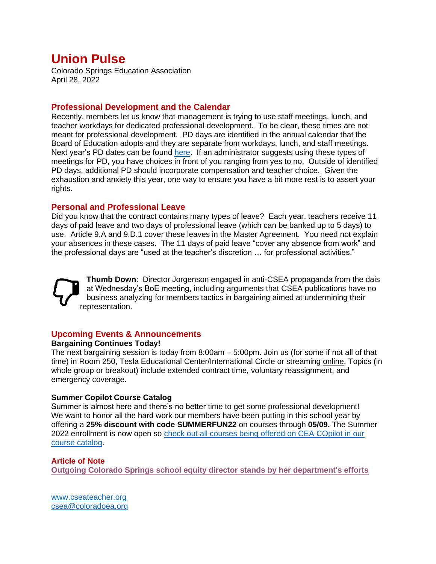# **Union Pulse**

Colorado Springs Education Association April 28, 2022

## **Professional Development and the Calendar**

Recently, members let us know that management is trying to use staff meetings, lunch, and teacher workdays for dedicated professional development. To be clear, these times are not meant for professional development. PD days are identified in the annual calendar that the Board of Education adopts and they are separate from workdays, lunch, and staff meetings. Next year's PD dates can be found [here.](https://www.d11.org/cms/lib/CO02201641/Centricity/Domain/4/2022-2023%20Adopted%20School%20Year%20Calendar%202-9-22%20-%20final.pdf) If an administrator suggests using these types of meetings for PD, you have choices in front of you ranging from yes to no. Outside of identified PD days, additional PD should incorporate compensation and teacher choice. Given the exhaustion and anxiety this year, one way to ensure you have a bit more rest is to assert your rights.

## **Personal and Professional Leave**

Did you know that the contract contains many types of leave? Each year, teachers receive 11 days of paid leave and two days of professional leave (which can be banked up to 5 days) to use. Article 9.A and 9.D.1 cover these leaves in the Master Agreement. You need not explain your absences in these cases. The 11 days of paid leave "cover any absence from work" and the professional days are "used at the teacher's discretion … for professional activities."

**Thumb Down**: Director Jorgenson engaged in anti-CSEA propaganda from the dais at Wednesday's BoE meeting, including arguments that CSEA publications have no business analyzing for members tactics in bargaining aimed at undermining their representation.

## **Upcoming Events & Announcements**

### **Bargaining Continues Today!**

The next bargaining session is today from 8:00am – 5:00pm. Join us (for some if not all of that time) in Room 250, Tesla Educational Center/International Circle or streaming [online.](https://www.d11.org/Page/1755) Topics (in whole group or breakout) include extended contract time, voluntary reassignment, and emergency coverage.

### **Summer Copilot Course Catalog**

Summer is almost here and there's no better time to get some professional development! We want to honor all the hard work our members have been putting in this school year by offering a **25% discount with code SUMMERFUN22** on courses through **05/09.** The Summer 2022 enrollment is now open so [check out all courses being offered on CEA COpilot in our](http://click.email.nea.org/?qs=8faf0d834425f2a95eb5deeb17985c66bed707341f37bc51c9f7db21f7262ed16b13f11973fc0674081772afff1bf95c1ac2bf0e0a0289ef)  [course catalog.](http://click.email.nea.org/?qs=8faf0d834425f2a95eb5deeb17985c66bed707341f37bc51c9f7db21f7262ed16b13f11973fc0674081772afff1bf95c1ac2bf0e0a0289ef)

### **Article of Note**

**[Outgoing Colorado Springs school equity director stands by her department's efforts](https://gazette.com/premium/outgoing-colorado-springs-school-equity-director-stands-by-her-departments-efforts/article_4ba39ba8-bf29-11ec-bc0d-a33db897d186.html)**

[www.cseateacher.org](http://www.cseateacher.org/) [csea@coloradoea.org](mailto:csea@coloradoea.org)